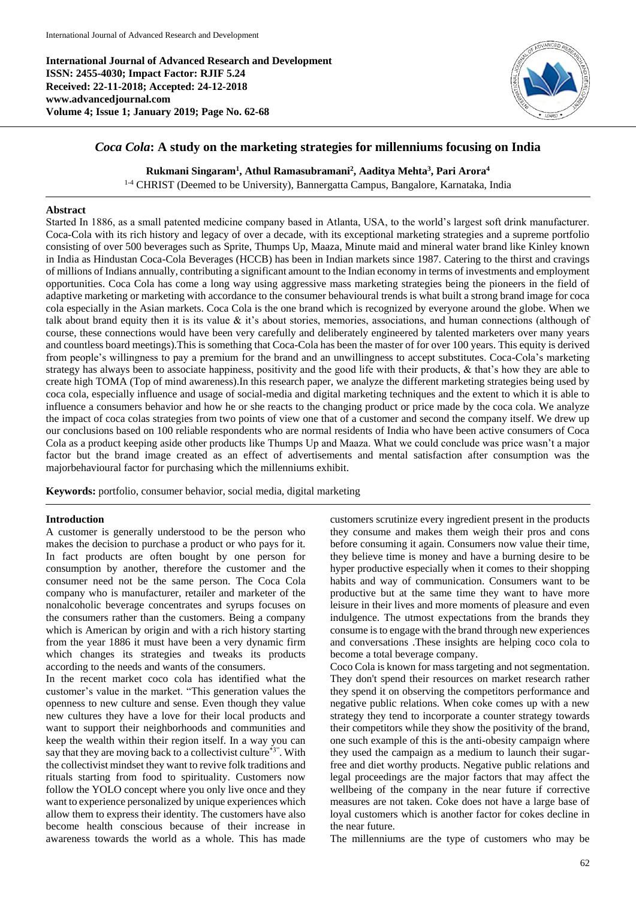**International Journal of Advanced Research and Development ISSN: 2455-4030; Impact Factor: RJIF 5.24 Received: 22-11-2018; Accepted: 24-12-2018 www.advancedjournal.com Volume 4; Issue 1; January 2019; Page No. 62-68**



# *Coca Cola***: A study on the marketing strategies for millenniums focusing on India**

### **Rukmani Singaram<sup>1</sup> , Athul Ramasubramani<sup>2</sup> , Aaditya Mehta<sup>3</sup> , Pari Arora<sup>4</sup>**

1-4 CHRIST (Deemed to be University), Bannergatta Campus, Bangalore, Karnataka, India

### **Abstract**

Started In 1886, as a small patented medicine company based in Atlanta, USA, to the world's largest soft drink manufacturer. Coca-Cola with its rich history and legacy of over a decade, with its exceptional marketing strategies and a supreme portfolio consisting of over 500 beverages such as Sprite, Thumps Up, Maaza, Minute maid and mineral water brand like Kinley known in India as Hindustan Coca-Cola Beverages (HCCB) has been in Indian markets since 1987. Catering to the thirst and cravings of millions of Indians annually, contributing a significant amount to the Indian economy in terms of investments and employment opportunities. Coca Cola has come a long way using aggressive mass marketing strategies being the pioneers in the field of adaptive marketing or marketing with accordance to the consumer behavioural trends is what built a strong brand image for coca cola especially in the Asian markets. Coca Cola is the one brand which is recognized by everyone around the globe. When we talk about brand equity then it is its value  $\&$  it's about stories, memories, associations, and human connections (although of course, these connections would have been very carefully and deliberately engineered by talented marketers over many years and countless board meetings).This is something that Coca-Cola has been the master of for over 100 years. This equity is derived from people's willingness to pay a premium for the brand and an unwillingness to accept substitutes. Coca-Cola's marketing strategy has always been to associate happiness, positivity and the good life with their products, & that's how they are able to create high TOMA (Top of mind awareness).In this research paper, we analyze the different marketing strategies being used by coca cola, especially influence and usage of social-media and digital marketing techniques and the extent to which it is able to influence a consumers behavior and how he or she reacts to the changing product or price made by the coca cola. We analyze the impact of coca colas strategies from two points of view one that of a customer and second the company itself. We drew up our conclusions based on 100 reliable respondents who are normal residents of India who have been active consumers of Coca Cola as a product keeping aside other products like Thumps Up and Maaza. What we could conclude was price wasn't a major factor but the brand image created as an effect of advertisements and mental satisfaction after consumption was the majorbehavioural factor for purchasing which the millenniums exhibit.

**Keywords:** portfolio, consumer behavior, social media, digital marketing

#### **Introduction**

A customer is generally understood to be the person who makes the decision to purchase a product or who pays for it. In fact products are often bought by one person for consumption by another, therefore the customer and the consumer need not be the same person. The Coca Cola company who is manufacturer, retailer and marketer of the nonalcoholic beverage concentrates and syrups focuses on the consumers rather than the customers. Being a company which is American by origin and with a rich history starting from the year 1886 it must have been a very dynamic firm which changes its strategies and tweaks its products according to the needs and wants of the consumers.

In the recent market coco cola has identified what the customer's value in the market. "This generation values the openness to new culture and sense. Even though they value new cultures they have a love for their local products and want to support their neighborhoods and communities and keep the wealth within their region itself. In a way you can say that they are moving back to a collectivist culture\*3". With the collectivist mindset they want to revive folk traditions and rituals starting from food to spirituality. Customers now follow the YOLO concept where you only live once and they want to experience personalized by unique experiences which allow them to express their identity. The customers have also become health conscious because of their increase in awareness towards the world as a whole. This has made

customers scrutinize every ingredient present in the products they consume and makes them weigh their pros and cons before consuming it again. Consumers now value their time, they believe time is money and have a burning desire to be hyper productive especially when it comes to their shopping habits and way of communication. Consumers want to be productive but at the same time they want to have more leisure in their lives and more moments of pleasure and even indulgence. The utmost expectations from the brands they consume is to engage with the brand through new experiences and conversations .These insights are helping coco cola to become a total beverage company.

Coco Cola is known for mass targeting and not segmentation. They don't spend their resources on market research rather they spend it on observing the competitors performance and negative public relations. When coke comes up with a new strategy they tend to incorporate a counter strategy towards their competitors while they show the positivity of the brand, one such example of this is the anti-obesity campaign where they used the campaign as a medium to launch their sugarfree and diet worthy products. Negative public relations and legal proceedings are the major factors that may affect the wellbeing of the company in the near future if corrective measures are not taken. Coke does not have a large base of loyal customers which is another factor for cokes decline in the near future.

The millenniums are the type of customers who may be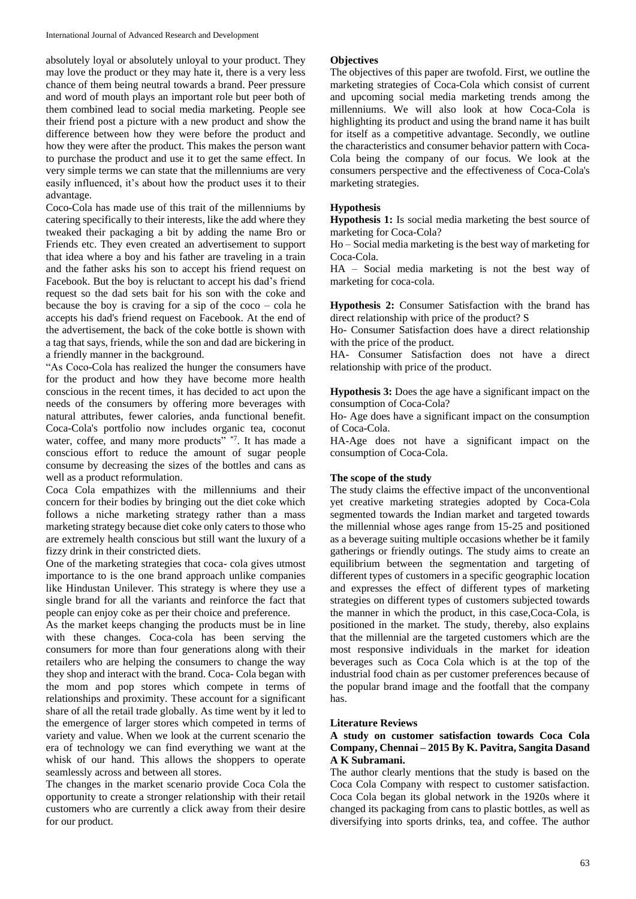absolutely loyal or absolutely unloyal to your product. They may love the product or they may hate it, there is a very less chance of them being neutral towards a brand. Peer pressure and word of mouth plays an important role but peer both of them combined lead to social media marketing. People see their friend post a picture with a new product and show the difference between how they were before the product and how they were after the product. This makes the person want to purchase the product and use it to get the same effect. In very simple terms we can state that the millenniums are very easily influenced, it's about how the product uses it to their advantage.

Coco-Cola has made use of this trait of the millenniums by catering specifically to their interests, like the add where they tweaked their packaging a bit by adding the name Bro or Friends etc. They even created an advertisement to support that idea where a boy and his father are traveling in a train and the father asks his son to accept his friend request on Facebook. But the boy is reluctant to accept his dad's friend request so the dad sets bait for his son with the coke and because the boy is craving for a sip of the  $\csc \circ - \cosh$  he accepts his dad's friend request on Facebook. At the end of the advertisement, the back of the coke bottle is shown with a tag that says, friends, while the son and dad are bickering in a friendly manner in the background.

"As Coco-Cola has realized the hunger the consumers have for the product and how they have become more health conscious in the recent times, it has decided to act upon the needs of the consumers by offering more beverages with natural attributes, fewer calories, anda functional benefit. Coca-Cola's portfolio now includes organic tea, coconut water, coffee, and many more products" \*7. It has made a conscious effort to reduce the amount of sugar people consume by decreasing the sizes of the bottles and cans as well as a product reformulation.

Coca Cola empathizes with the millenniums and their concern for their bodies by bringing out the diet coke which follows a niche marketing strategy rather than a mass marketing strategy because diet coke only caters to those who are extremely health conscious but still want the luxury of a fizzy drink in their constricted diets.

One of the marketing strategies that coca- cola gives utmost importance to is the one brand approach unlike companies like Hindustan Unilever. This strategy is where they use a single brand for all the variants and reinforce the fact that people can enjoy coke as per their choice and preference.

As the market keeps changing the products must be in line with these changes. Coca-cola has been serving the consumers for more than four generations along with their retailers who are helping the consumers to change the way they shop and interact with the brand. Coca- Cola began with the mom and pop stores which compete in terms of relationships and proximity. These account for a significant share of all the retail trade globally. As time went by it led to the emergence of larger stores which competed in terms of variety and value. When we look at the current scenario the era of technology we can find everything we want at the whisk of our hand. This allows the shoppers to operate seamlessly across and between all stores.

The changes in the market scenario provide Coca Cola the opportunity to create a stronger relationship with their retail customers who are currently a click away from their desire for our product.

### **Objectives**

The objectives of this paper are twofold. First, we outline the marketing strategies of Coca-Cola which consist of current and upcoming social media marketing trends among the millenniums. We will also look at how Coca-Cola is highlighting its product and using the brand name it has built for itself as a competitive advantage. Secondly, we outline the characteristics and consumer behavior pattern with Coca-Cola being the company of our focus. We look at the consumers perspective and the effectiveness of Coca-Cola's marketing strategies.

### **Hypothesis**

**Hypothesis 1:** Is social media marketing the best source of marketing for Coca-Cola?

Ho – Social media marketing is the best way of marketing for Coca-Cola.

HA – Social media marketing is not the best way of marketing for coca-cola.

**Hypothesis 2:** Consumer Satisfaction with the brand has direct relationship with price of the product? S

Ho- Consumer Satisfaction does have a direct relationship with the price of the product.

HA- Consumer Satisfaction does not have a direct relationship with price of the product.

**Hypothesis 3:** Does the age have a significant impact on the consumption of Coca-Cola?

Ho- Age does have a significant impact on the consumption of Coca-Cola.

HA-Age does not have a significant impact on the consumption of Coca-Cola.

### **The scope of the study**

The study claims the effective impact of the unconventional yet creative marketing strategies adopted by Coca-Cola segmented towards the Indian market and targeted towards the millennial whose ages range from 15-25 and positioned as a beverage suiting multiple occasions whether be it family gatherings or friendly outings. The study aims to create an equilibrium between the segmentation and targeting of different types of customers in a specific geographic location and expresses the effect of different types of marketing strategies on different types of customers subjected towards the manner in which the product, in this case,Coca-Cola, is positioned in the market. The study, thereby, also explains that the millennial are the targeted customers which are the most responsive individuals in the market for ideation beverages such as Coca Cola which is at the top of the industrial food chain as per customer preferences because of the popular brand image and the footfall that the company has.

### **Literature Reviews**

### **A study on customer satisfaction towards Coca Cola Company, Chennai – 2015 By K. Pavitra, Sangita Dasand A K Subramani.**

The author clearly mentions that the study is based on the Coca Cola Company with respect to customer satisfaction. Coca Cola began its global network in the 1920s where it changed its packaging from cans to plastic bottles, as well as diversifying into sports drinks, tea, and coffee. The author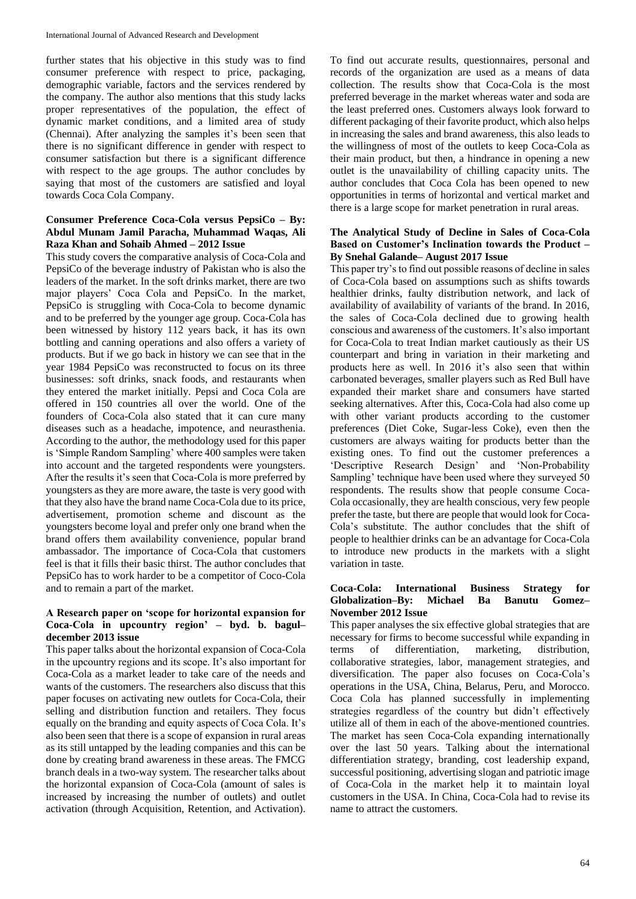further states that his objective in this study was to find consumer preference with respect to price, packaging, demographic variable, factors and the services rendered by the company. The author also mentions that this study lacks proper representatives of the population, the effect of dynamic market conditions, and a limited area of study (Chennai). After analyzing the samples it's been seen that there is no significant difference in gender with respect to consumer satisfaction but there is a significant difference with respect to the age groups. The author concludes by saying that most of the customers are satisfied and loyal towards Coca Cola Company.

## **Consumer Preference Coca-Cola versus PepsiCo – By: Abdul Munam Jamil Paracha, Muhammad Waqas, Ali Raza Khan and Sohaib Ahmed – 2012 Issue**

This study covers the comparative analysis of Coca-Cola and PepsiCo of the beverage industry of Pakistan who is also the leaders of the market. In the soft drinks market, there are two major players' Coca Cola and PepsiCo. In the market, PepsiCo is struggling with Coca-Cola to become dynamic and to be preferred by the younger age group. Coca-Cola has been witnessed by history 112 years back, it has its own bottling and canning operations and also offers a variety of products. But if we go back in history we can see that in the year 1984 PepsiCo was reconstructed to focus on its three businesses: soft drinks, snack foods, and restaurants when they entered the market initially. Pepsi and Coca Cola are offered in 150 countries all over the world. One of the founders of Coca-Cola also stated that it can cure many diseases such as a headache, impotence, and neurasthenia. According to the author, the methodology used for this paper is 'Simple Random Sampling' where 400 samples were taken into account and the targeted respondents were youngsters. After the results it's seen that Coca-Cola is more preferred by youngsters as they are more aware, the taste is very good with that they also have the brand name Coca-Cola due to its price, advertisement, promotion scheme and discount as the youngsters become loyal and prefer only one brand when the brand offers them availability convenience, popular brand ambassador. The importance of Coca-Cola that customers feel is that it fills their basic thirst. The author concludes that PepsiCo has to work harder to be a competitor of Coco-Cola and to remain a part of the market.

### **A Research paper on 'scope for horizontal expansion for Coca-Cola in upcountry region' – byd. b. bagul– december 2013 issue**

This paper talks about the horizontal expansion of Coca-Cola in the upcountry regions and its scope. It's also important for Coca-Cola as a market leader to take care of the needs and wants of the customers. The researchers also discuss that this paper focuses on activating new outlets for Coca-Cola, their selling and distribution function and retailers. They focus equally on the branding and equity aspects of Coca Cola. It's also been seen that there is a scope of expansion in rural areas as its still untapped by the leading companies and this can be done by creating brand awareness in these areas. The FMCG branch deals in a two-way system. The researcher talks about the horizontal expansion of Coca-Cola (amount of sales is increased by increasing the number of outlets) and outlet activation (through Acquisition, Retention, and Activation).

To find out accurate results, questionnaires, personal and records of the organization are used as a means of data collection. The results show that Coca-Cola is the most preferred beverage in the market whereas water and soda are the least preferred ones. Customers always look forward to different packaging of their favorite product, which also helps in increasing the sales and brand awareness, this also leads to the willingness of most of the outlets to keep Coca-Cola as their main product, but then, a hindrance in opening a new outlet is the unavailability of chilling capacity units. The author concludes that Coca Cola has been opened to new opportunities in terms of horizontal and vertical market and there is a large scope for market penetration in rural areas.

## **The Analytical Study of Decline in Sales of Coca-Cola Based on Customer's Inclination towards the Product – By Snehal Galande– August 2017 Issue**

This paper try's to find out possible reasons of decline in sales of Coca-Cola based on assumptions such as shifts towards healthier drinks, faulty distribution network, and lack of availability of availability of variants of the brand. In 2016, the sales of Coca-Cola declined due to growing health conscious and awareness of the customers. It's also important for Coca-Cola to treat Indian market cautiously as their US counterpart and bring in variation in their marketing and products here as well. In 2016 it's also seen that within carbonated beverages, smaller players such as Red Bull have expanded their market share and consumers have started seeking alternatives. After this, Coca-Cola had also come up with other variant products according to the customer preferences (Diet Coke, Sugar-less Coke), even then the customers are always waiting for products better than the existing ones. To find out the customer preferences a 'Descriptive Research Design' and 'Non-Probability Sampling' technique have been used where they surveyed 50 respondents. The results show that people consume Coca-Cola occasionally, they are health conscious, very few people prefer the taste, but there are people that would look for Coca-Cola's substitute. The author concludes that the shift of people to healthier drinks can be an advantage for Coca-Cola to introduce new products in the markets with a slight variation in taste.

### **Coca-Cola: International Business Strategy for Globalization–By: Michael Ba Banutu Gomez– November 2012 Issue**

This paper analyses the six effective global strategies that are necessary for firms to become successful while expanding in terms of differentiation, marketing, distribution, collaborative strategies, labor, management strategies, and diversification. The paper also focuses on Coca-Cola's operations in the USA, China, Belarus, Peru, and Morocco. Coca Cola has planned successfully in implementing strategies regardless of the country but didn't effectively utilize all of them in each of the above-mentioned countries. The market has seen Coca-Cola expanding internationally over the last 50 years. Talking about the international differentiation strategy, branding, cost leadership expand, successful positioning, advertising slogan and patriotic image of Coca-Cola in the market help it to maintain loyal customers in the USA. In China, Coca-Cola had to revise its name to attract the customers.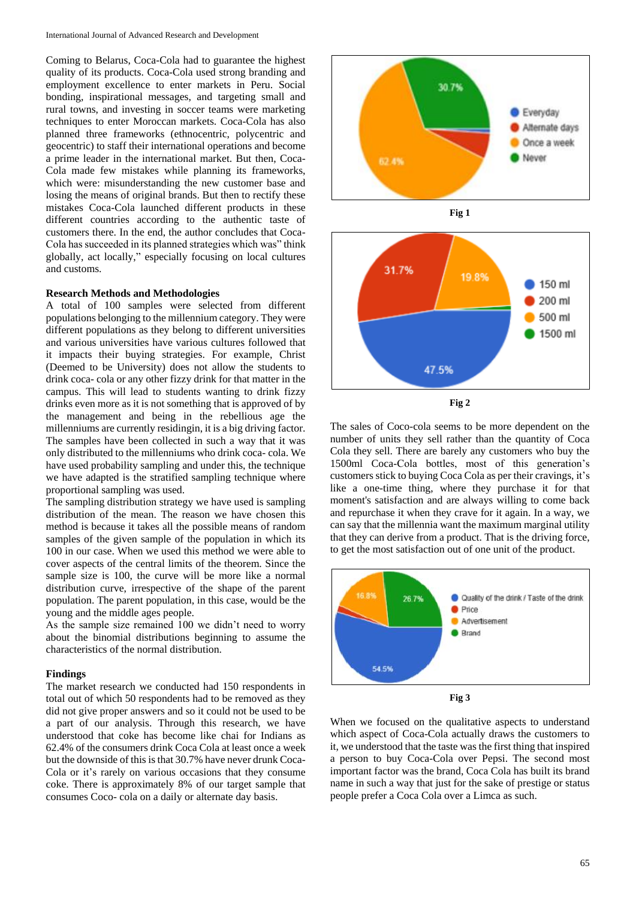Coming to Belarus, Coca-Cola had to guarantee the highest quality of its products. Coca-Cola used strong branding and employment excellence to enter markets in Peru. Social bonding, inspirational messages, and targeting small and rural towns, and investing in soccer teams were marketing techniques to enter Moroccan markets. Coca-Cola has also planned three frameworks (ethnocentric, polycentric and geocentric) to staff their international operations and become a prime leader in the international market. But then, Coca-Cola made few mistakes while planning its frameworks, which were: misunderstanding the new customer base and losing the means of original brands. But then to rectify these mistakes Coca-Cola launched different products in these different countries according to the authentic taste of customers there. In the end, the author concludes that Coca-Cola has succeeded in its planned strategies which was" think globally, act locally," especially focusing on local cultures and customs.

#### **Research Methods and Methodologies**

A total of 100 samples were selected from different populations belonging to the millennium category. They were different populations as they belong to different universities and various universities have various cultures followed that it impacts their buying strategies. For example, Christ (Deemed to be University) does not allow the students to drink coca- cola or any other fizzy drink for that matter in the campus. This will lead to students wanting to drink fizzy drinks even more as it is not something that is approved of by the management and being in the rebellious age the millenniums are currently residingin, it is a big driving factor. The samples have been collected in such a way that it was only distributed to the millenniums who drink coca- cola. We have used probability sampling and under this, the technique we have adapted is the stratified sampling technique where proportional sampling was used.

The sampling distribution strategy we have used is sampling distribution of the mean. The reason we have chosen this method is because it takes all the possible means of random samples of the given sample of the population in which its 100 in our case. When we used this method we were able to cover aspects of the central limits of the theorem. Since the sample size is 100, the curve will be more like a normal distribution curve, irrespective of the shape of the parent population. The parent population, in this case, would be the young and the middle ages people.

As the sample size remained 100 we didn't need to worry about the binomial distributions beginning to assume the characteristics of the normal distribution.

### **Findings**

The market research we conducted had 150 respondents in total out of which 50 respondents had to be removed as they did not give proper answers and so it could not be used to be a part of our analysis. Through this research, we have understood that coke has become like chai for Indians as 62.4% of the consumers drink Coca Cola at least once a week but the downside of this is that 30.7% have never drunk Coca-Cola or it's rarely on various occasions that they consume coke. There is approximately 8% of our target sample that consumes Coco- cola on a daily or alternate day basis.







**Fig 2**

The sales of Coco-cola seems to be more dependent on the number of units they sell rather than the quantity of Coca Cola they sell. There are barely any customers who buy the 1500ml Coca-Cola bottles, most of this generation's customers stick to buying Coca Cola as per their cravings, it's like a one-time thing, where they purchase it for that moment's satisfaction and are always willing to come back and repurchase it when they crave for it again. In a way, we can say that the millennia want the maximum marginal utility that they can derive from a product. That is the driving force, to get the most satisfaction out of one unit of the product.



**Fig 3**

When we focused on the qualitative aspects to understand which aspect of Coca-Cola actually draws the customers to it, we understood that the taste was the first thing that inspired a person to buy Coca-Cola over Pepsi. The second most important factor was the brand, Coca Cola has built its brand name in such a way that just for the sake of prestige or status people prefer a Coca Cola over a Limca as such.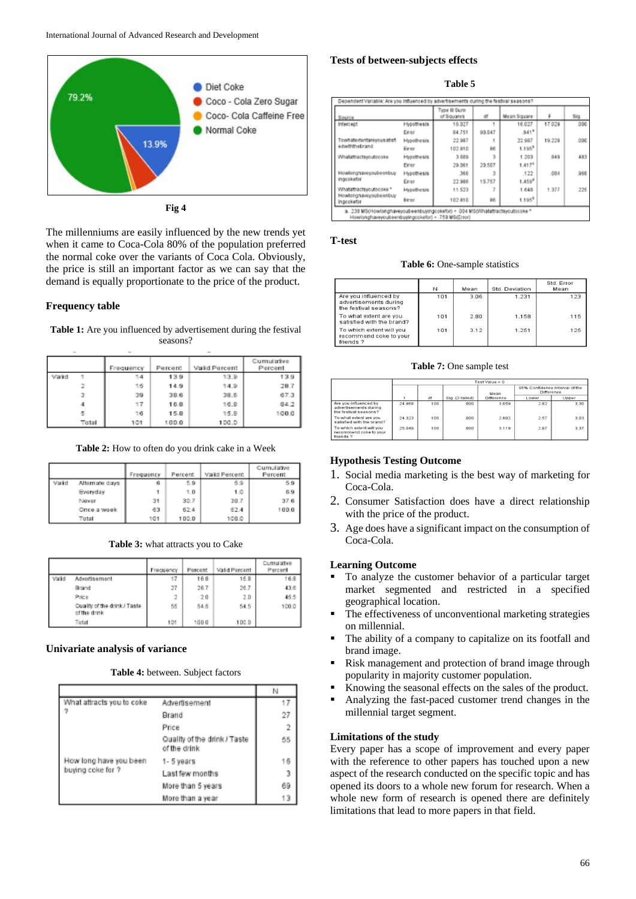



The millenniums are easily influenced by the new trends yet when it came to Coca-Cola 80% of the population preferred the normal coke over the variants of Coca Cola. Obviously, the price is still an important factor as we can say that the demand is equally proportionate to the price of the product.

### **Frequency table**

**Table 1:** Are you influenced by advertisement during the festival seasons?

|       |       | Frequency | Percent | Valid Percent | Cumulative<br>Percent |
|-------|-------|-----------|---------|---------------|-----------------------|
| Valid |       |           | 139     | 13.9          | 13.9                  |
|       |       | 15        | 14.9    | 14.9          | 28.7                  |
|       |       | 39        | 38.6    | 38.6          | 67.3                  |
|       |       | 17        | 16.8    | 16.B          | 84.2                  |
|       |       | 16        | 15.8    | 15.8          | 100.0                 |
|       | Total | 101       | 100.0   | 100.0         |                       |

**Table 2:** How to often do you drink cake in a Week

|       |                | Frequency | Percent | Valid Percent | Cumulative<br>Percent |
|-------|----------------|-----------|---------|---------------|-----------------------|
| Valid | Alternate days | 6         | 5.9     | 5.9           | 59                    |
|       | Everyday       |           | 1.0     | 1.0           | 6.9                   |
|       | Newer          | 31        | 30.7    | 30.7          | 37.6                  |
|       | Once a week    | 63        | 62.4    | 62.4          | 100.0                 |
|       | Total          | 101       | 100.0   | 100.0         |                       |

**Table 3:** what attracts you to Cake

|       |                                              | Frequency | Percent | Valid Percent | Cumulative<br>Percent |
|-------|----------------------------------------------|-----------|---------|---------------|-----------------------|
| Valid | Advertisement                                |           | 16.8    | 16.8          | 16.8                  |
|       | Brand                                        | 27        | 26.7    | 26.7          | 43.6                  |
|       | Price                                        |           | 2.0     | 2.0           | 45.5                  |
|       | Cuality of the drink / Taste<br>of the drink | 55        | 545     | 54.5          | 100.0                 |
|       | Total                                        | 101       | 100.0   | 100.D         |                       |

### **Univariate analysis of variance**

**Table 4:** between. Subject factors

|                                             |                                              | N  |
|---------------------------------------------|----------------------------------------------|----|
| What attracts you to coke                   | Advertisement                                |    |
|                                             | Brand                                        | 27 |
|                                             | Price                                        |    |
|                                             | Quality of the drink / Taste<br>of the drink | 55 |
| How long have you been<br>buying coke for ? | 1-5 years                                    | 16 |
|                                             | Last few months                              | 3  |
|                                             | More than 5 years                            | 69 |
|                                             | More than a year                             | 13 |

### **Tests of between-subjects effects**

**Table 5**

| Source                              |            | Type III Sum<br>of Squares | er     | Mean Square        |        | Sig. |
|-------------------------------------|------------|----------------------------|--------|--------------------|--------|------|
| Intercept                           | Hypothesis | 16.027                     |        | 16.027             | 17.029 | .000 |
|                                     | Errer      | 84.751                     | 93.047 | $541$ <sup>*</sup> |        |      |
| halfie auousmandusfield             | Hypothesis | 22.987                     |        | 22.987             | 19.228 | .000 |
| edwiththebrand                      | Esrer      | 102.810                    | 96     | $1.195^{0}$        |        |      |
| Whatattractsycutocoke               | Hypothesis | 3.509                      | э      | 1.203              | 849    | 483  |
|                                     | Etrer      | 29.061                     | 20.507 | 1.417 <sup>0</sup> |        |      |
| Howlonghaveyoubeenbuy               | Hypothesis | 366                        |        | .122               | .084   | .968 |
| ingcokefor                          | Errer      | 22.986                     | 15,757 | 1.459 <sup>6</sup> |        |      |
| Whatattractsyoutocoke *             | Hypothesis | 11.523                     |        | 1.646              | 1.377  | 226  |
| Howlonghaveyoubeenbuy<br>ingcoketor | Errer      | 102.810                    | 86     | 1.195 <sup>8</sup> |        |      |

### **T-test**

**Table 6:** One-sample statistics

|                                                                         | N   | Mean | Std. Deviation | Std. Error<br>Mean |
|-------------------------------------------------------------------------|-----|------|----------------|--------------------|
| Are you influenced by<br>advertisements during<br>the festival seasons? | 101 | 3.06 | 1.231          | .123               |
| To what extent are you<br>satisfied with the brand?                     | 101 | 2.80 | 1.158          | .115               |
| To which extent will you<br>recommend coke to your<br>friends?          | 101 | 3.12 | 1.251          | .125               |

#### **Table 7:** One sample test

|                                                                         | $Test Value = 0$ |     |                 |                   |                                              |       |  |  |
|-------------------------------------------------------------------------|------------------|-----|-----------------|-------------------|----------------------------------------------|-------|--|--|
|                                                                         |                  |     |                 | Mean              | 95% Confidence Interval of the<br>Difference |       |  |  |
|                                                                         |                  | df  | Sig. (2-tailed) | <b>Difference</b> | Lower                                        | Upper |  |  |
| Are you influenced by<br>advertisements during<br>the festival seasons? | 24.968           | 100 | .000            | 3.059             | 2.82                                         | 3.30  |  |  |
| To what extent are you<br>satisfied with the brand?                     | 24.323           | 100 | .000            | 2.802             | 2.57                                         | 3.03  |  |  |
| To which extent will you<br>recommend coke to your<br>friends ?         | 25.049           | 100 | .000            | 3.119             | 2.87                                         | 3.37  |  |  |

## **Hypothesis Testing Outcome**

- 1. Social media marketing is the best way of marketing for Coca-Cola.
- 2. Consumer Satisfaction does have a direct relationship with the price of the product.
- 3. Age does have a significant impact on the consumption of Coca-Cola.

## **Learning Outcome**

- To analyze the customer behavior of a particular target market segmented and restricted in a specified geographical location.
- The effectiveness of unconventional marketing strategies on millennial.
- The ability of a company to capitalize on its footfall and brand image.
- Risk management and protection of brand image through popularity in majority customer population.
- Knowing the seasonal effects on the sales of the product.
- Analyzing the fast-paced customer trend changes in the millennial target segment.

### **Limitations of the study**

Every paper has a scope of improvement and every paper with the reference to other papers has touched upon a new aspect of the research conducted on the specific topic and has opened its doors to a whole new forum for research. When a whole new form of research is opened there are definitely limitations that lead to more papers in that field.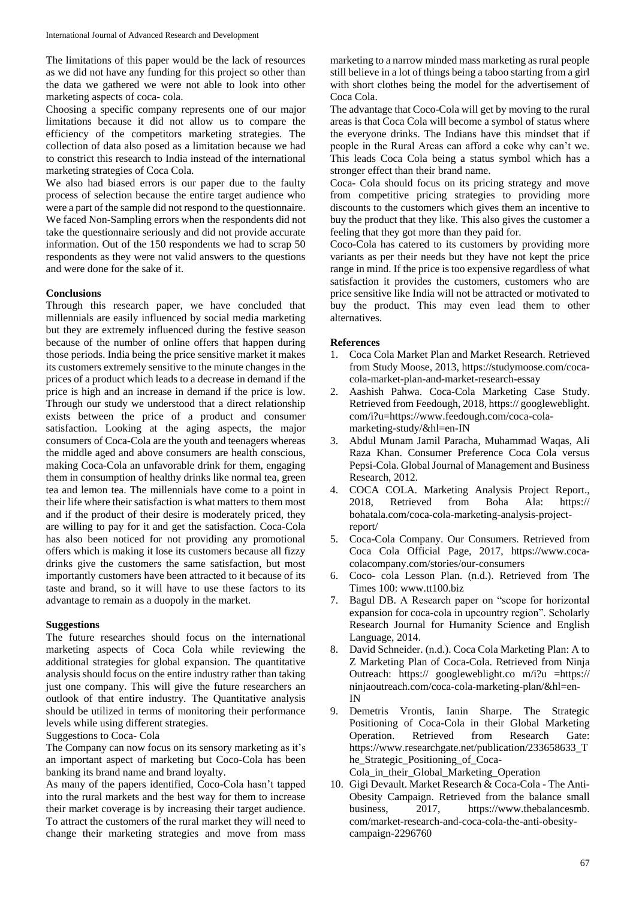The limitations of this paper would be the lack of resources as we did not have any funding for this project so other than the data we gathered we were not able to look into other marketing aspects of coca- cola.

Choosing a specific company represents one of our major limitations because it did not allow us to compare the efficiency of the competitors marketing strategies. The collection of data also posed as a limitation because we had to constrict this research to India instead of the international marketing strategies of Coca Cola.

We also had biased errors is our paper due to the faulty process of selection because the entire target audience who were a part of the sample did not respond to the questionnaire. We faced Non-Sampling errors when the respondents did not take the questionnaire seriously and did not provide accurate information. Out of the 150 respondents we had to scrap 50 respondents as they were not valid answers to the questions and were done for the sake of it.

### **Conclusions**

Through this research paper, we have concluded that millennials are easily influenced by social media marketing but they are extremely influenced during the festive season because of the number of online offers that happen during those periods. India being the price sensitive market it makes its customers extremely sensitive to the minute changes in the prices of a product which leads to a decrease in demand if the price is high and an increase in demand if the price is low. Through our study we understood that a direct relationship exists between the price of a product and consumer satisfaction. Looking at the aging aspects, the major consumers of Coca-Cola are the youth and teenagers whereas the middle aged and above consumers are health conscious, making Coca-Cola an unfavorable drink for them, engaging them in consumption of healthy drinks like normal tea, green tea and lemon tea. The millennials have come to a point in their life where their satisfaction is what matters to them most and if the product of their desire is moderately priced, they are willing to pay for it and get the satisfaction. Coca-Cola has also been noticed for not providing any promotional offers which is making it lose its customers because all fizzy drinks give the customers the same satisfaction, but most importantly customers have been attracted to it because of its taste and brand, so it will have to use these factors to its advantage to remain as a duopoly in the market.

#### **Suggestions**

The future researches should focus on the international marketing aspects of Coca Cola while reviewing the additional strategies for global expansion. The quantitative analysis should focus on the entire industry rather than taking just one company. This will give the future researchers an outlook of that entire industry. The Quantitative analysis should be utilized in terms of monitoring their performance levels while using different strategies.

Suggestions to Coca- Cola

The Company can now focus on its sensory marketing as it's an important aspect of marketing but Coco-Cola has been banking its brand name and brand loyalty.

As many of the papers identified, Coco-Cola hasn't tapped into the rural markets and the best way for them to increase their market coverage is by increasing their target audience. To attract the customers of the rural market they will need to change their marketing strategies and move from mass

marketing to a narrow minded mass marketing as rural people still believe in a lot of things being a taboo starting from a girl with short clothes being the model for the advertisement of Coca Cola.

The advantage that Coco-Cola will get by moving to the rural areas is that Coca Cola will become a symbol of status where the everyone drinks. The Indians have this mindset that if people in the Rural Areas can afford a coke why can't we. This leads Coca Cola being a status symbol which has a stronger effect than their brand name.

Coca- Cola should focus on its pricing strategy and move from competitive pricing strategies to providing more discounts to the customers which gives them an incentive to buy the product that they like. This also gives the customer a feeling that they got more than they paid for.

Coco-Cola has catered to its customers by providing more variants as per their needs but they have not kept the price range in mind. If the price is too expensive regardless of what satisfaction it provides the customers, customers who are price sensitive like India will not be attracted or motivated to buy the product. This may even lead them to other alternatives.

#### **References**

- 1. Coca Cola Market Plan and Market Research. Retrieved from Study Moose, 2013, https://studymoose.com/cocacola-market-plan-and-market-research-essay
- 2. Aashish Pahwa. Coca-Cola Marketing Case Study. Retrieved from Feedough, 2018, https:// googleweblight. com/i?u=https://www.feedough.com/coca-colamarketing-study/&hl=en-IN
- 3. Abdul Munam Jamil Paracha, Muhammad Waqas, Ali Raza Khan. Consumer Preference Coca Cola versus Pepsi-Cola. Global Journal of Management and Business Research, 2012.
- 4. COCA COLA. Marketing Analysis Project Report., 2018, Retrieved from Boha Ala: https:// bohatala.com/coca-cola-marketing-analysis-projectreport/
- 5. Coca-Cola Company. Our Consumers. Retrieved from Coca Cola Official Page, 2017, https://www.cocacolacompany.com/stories/our-consumers
- 6. Coco- cola Lesson Plan. (n.d.). Retrieved from The Times 100: www.tt100.biz
- 7. Bagul DB. A Research paper on "scope for horizontal expansion for coca-cola in upcountry region". Scholarly Research Journal for Humanity Science and English Language, 2014.
- 8. David Schneider. (n.d.). Coca Cola Marketing Plan: A to Z Marketing Plan of Coca-Cola. Retrieved from Ninja Outreach: https:// googleweblight.co m/i?u =https:// ninjaoutreach.com/coca-cola-marketing-plan/&hl=en-IN
- 9. Demetris Vrontis, Ianin Sharpe. The Strategic Positioning of Coca-Cola in their Global Marketing Operation. Retrieved from Research Gate: https://www.researchgate.net/publication/233658633\_T he\_Strategic\_Positioning\_of\_Coca-Cola\_in\_their\_Global\_Marketing\_Operation
- 10. Gigi Devault. Market Research & Coca-Cola The Anti-Obesity Campaign. Retrieved from the balance small business, 2017, https://www.thebalancesmb. com/market-research-and-coca-cola-the-anti-obesitycampaign-2296760